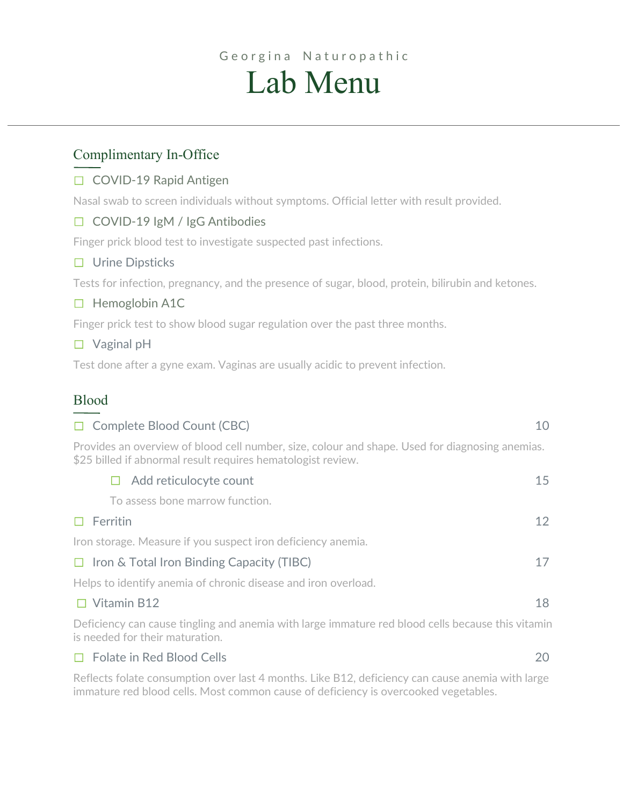# Georgina Naturopathic Lab Menu

## Complimentary In-Office

## ☐ COVID-19 Rapid Antigen

Nasal swab to screen individuals without symptoms. Official letter with result provided.

## ☐ COVID-19 IgM / IgG Antibodies

Finger prick blood test to investigate suspected past infections.

## ☐ Urine Dipsticks

Tests for infection, pregnancy, and the presence of sugar, blood, protein, bilirubin and ketones.

## □ Hemoglobin A1C

Finger prick test to show blood sugar regulation over the past three months.

## ☐ Vaginal pH

Test done after a gyne exam. Vaginas are usually acidic to prevent infection.

## Blood

| □ Complete Blood Count (CBC)                                                                                                                                    | 10 |
|-----------------------------------------------------------------------------------------------------------------------------------------------------------------|----|
| Provides an overview of blood cell number, size, colour and shape. Used for diagnosing anemias.<br>\$25 billed if abnormal result requires hematologist review. |    |
| Add reticulocyte count                                                                                                                                          | 15 |
| To assess bone marrow function.                                                                                                                                 |    |
| $\Box$ Ferritin                                                                                                                                                 | 12 |
| Iron storage. Measure if you suspect iron deficiency anemia.                                                                                                    |    |
| $\Box$ Iron & Total Iron Binding Capacity (TIBC)                                                                                                                | 17 |
| Helps to identify anemia of chronic disease and iron overload.                                                                                                  |    |
| $\Box$ Vitamin B12                                                                                                                                              | 18 |
| Deficiency can cause tingling and anemia with large immature red blood cells because this vitamin<br>is needed for their maturation.                            |    |

## ☐ Folate in Red Blood Cells 20

Reflects folate consumption over last 4 months. Like B12, deficiency can cause anemia with large immature red blood cells. Most common cause of deficiency is overcooked vegetables.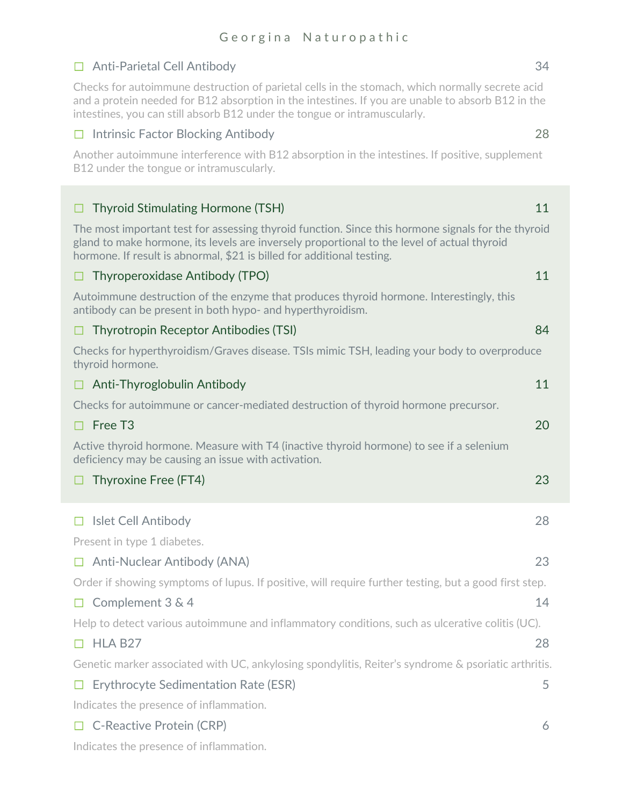## ☐ Anti-Parietal Cell Antibody 34

Checks for autoimmune destruction of parietal cells in the stomach, which normally secrete acid and a protein needed for B12 absorption in the intestines. If you are unable to absorb B12 in the intestines, you can still absorb B12 under the tongue or intramuscularly.

## ☐ Intrinsic Factor Blocking Antibody 28

Another autoimmune interference with B12 absorption in the intestines. If positive, supplement B12 under the tongue or intramuscularly.

| Thyroid Stimulating Hormone (TSH)<br>□                                                                                                                                                                                                                                      | 11 |
|-----------------------------------------------------------------------------------------------------------------------------------------------------------------------------------------------------------------------------------------------------------------------------|----|
| The most important test for assessing thyroid function. Since this hormone signals for the thyroid<br>gland to make hormone, its levels are inversely proportional to the level of actual thyroid<br>hormone. If result is abnormal, \$21 is billed for additional testing. |    |
| Thyroperoxidase Antibody (TPO)                                                                                                                                                                                                                                              | 11 |
| Autoimmune destruction of the enzyme that produces thyroid hormone. Interestingly, this<br>antibody can be present in both hypo- and hyperthyroidism.                                                                                                                       |    |
| Thyrotropin Receptor Antibodies (TSI)                                                                                                                                                                                                                                       | 84 |
| Checks for hyperthyroidism/Graves disease. TSIs mimic TSH, leading your body to overproduce<br>thyroid hormone.                                                                                                                                                             |    |
| Anti-Thyroglobulin Antibody<br>□                                                                                                                                                                                                                                            | 11 |
| Checks for autoimmune or cancer-mediated destruction of thyroid hormone precursor.                                                                                                                                                                                          |    |
| Free T <sub>3</sub><br>П                                                                                                                                                                                                                                                    | 20 |
| Active thyroid hormone. Measure with T4 (inactive thyroid hormone) to see if a selenium<br>deficiency may be causing an issue with activation.                                                                                                                              |    |
| Thyroxine Free (FT4)                                                                                                                                                                                                                                                        | 23 |
|                                                                                                                                                                                                                                                                             |    |
| Islet Cell Antibody<br>Ш                                                                                                                                                                                                                                                    | 28 |
| Present in type 1 diabetes.                                                                                                                                                                                                                                                 |    |
| Anti-Nuclear Antibody (ANA)<br>$\Box$                                                                                                                                                                                                                                       | 23 |
| Order if showing symptoms of lupus. If positive, will require further testing, but a good first step.                                                                                                                                                                       |    |
| Complement 3 & 4<br>$\Box$                                                                                                                                                                                                                                                  | 14 |
| Help to detect various autoimmune and inflammatory conditions, such as ulcerative colitis (UC).                                                                                                                                                                             |    |
| $\Box$ HLA B27                                                                                                                                                                                                                                                              | 28 |
| Genetic marker associated with UC, ankylosing spondylitis, Reiter's syndrome & psoriatic arthritis.                                                                                                                                                                         |    |
| Erythrocyte Sedimentation Rate (ESR)<br>□                                                                                                                                                                                                                                   | 5  |
| Indicates the presence of inflammation.                                                                                                                                                                                                                                     |    |
| <b>C-Reactive Protein (CRP)</b>                                                                                                                                                                                                                                             | 6  |
| Indicates the presence of inflammation.                                                                                                                                                                                                                                     |    |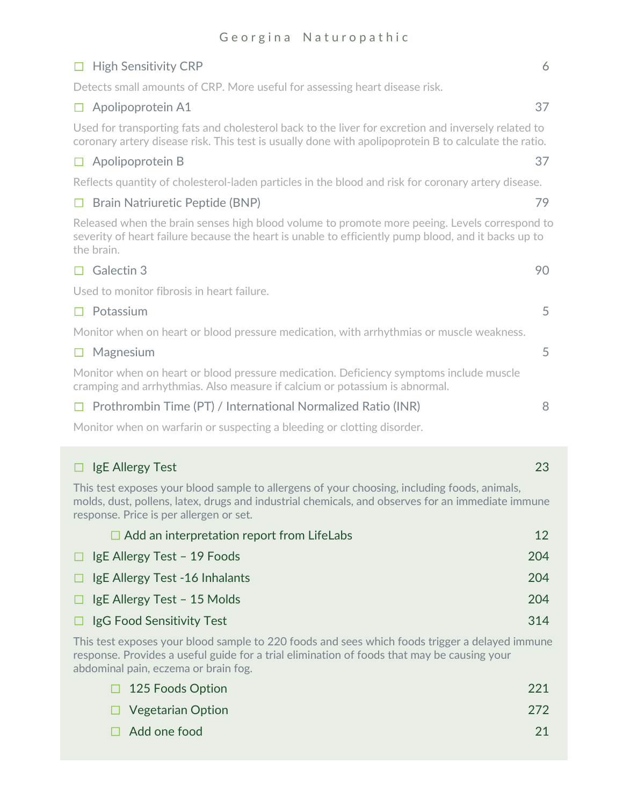## ☐ High Sensitivity CRP 6

Detects small amounts of CRP. More useful for assessing heart disease risk.

## ☐ Apolipoprotein A1 37

Used for transporting fats and cholesterol back to the liver for excretion and inversely related to coronary artery disease risk. This test is usually done with apolipoprotein B to calculate the ratio.

## ☐ Apolipoprotein B 37

Reflects quantity of cholesterol-laden particles in the blood and risk for coronary artery disease.

## ☐ Brain Natriuretic Peptide (BNP) 79

Released when the brain senses high blood volume to promote more peeing. Levels correspond to severity of heart failure because the heart is unable to efficiently pump blood, and it backs up to the brain.

## $\Box$  Galectin 3 90

Used to monitor fibrosis in heart failure.

### ☐ Potassium 5

Monitor when on heart or blood pressure medication, with arrhythmias or muscle weakness.

| $\Box$ Magnesium                                                                                                                                                      |  |
|-----------------------------------------------------------------------------------------------------------------------------------------------------------------------|--|
| Monitor when on heart or blood pressure medication. Deficiency symptoms include muscle<br>cramping and arrhythmias. Also measure if calcium or potassium is abnormal. |  |

## $\Box$  Prothrombin Time (PT) / International Normalized Ratio (INR)  $\Box$

Monitor when on warfarin or suspecting a bleeding or clotting disorder.

| IgE Allergy Test                                                                                                                                                                                                                             | 23  |
|----------------------------------------------------------------------------------------------------------------------------------------------------------------------------------------------------------------------------------------------|-----|
| This test exposes your blood sample to allergens of your choosing, including foods, animals,<br>molds, dust, pollens, latex, drugs and industrial chemicals, and observes for an immediate immune<br>response. Price is per allergen or set. |     |
| $\Box$ Add an interpretation report from LifeLabs                                                                                                                                                                                            | 12  |
| IgE Allergy Test - 19 Foods                                                                                                                                                                                                                  | 204 |
| IgE Allergy Test -16 Inhalants                                                                                                                                                                                                               | 204 |
| IgE Allergy Test - 15 Molds                                                                                                                                                                                                                  | 204 |
| IgG Food Sensitivity Test                                                                                                                                                                                                                    | 314 |
| This test exposes your blood sample to 220 foods and sees which foods trigger a delayed immune                                                                                                                                               |     |

response. Provides a useful guide for a trial elimination of foods that may be causing your abdominal pain, eczema or brain fog.

| $\Box$ 125 Foods Option  | -221 |
|--------------------------|------|
| $\Box$ Vegetarian Option | 272  |
| $\Box$ Add one food      | 21   |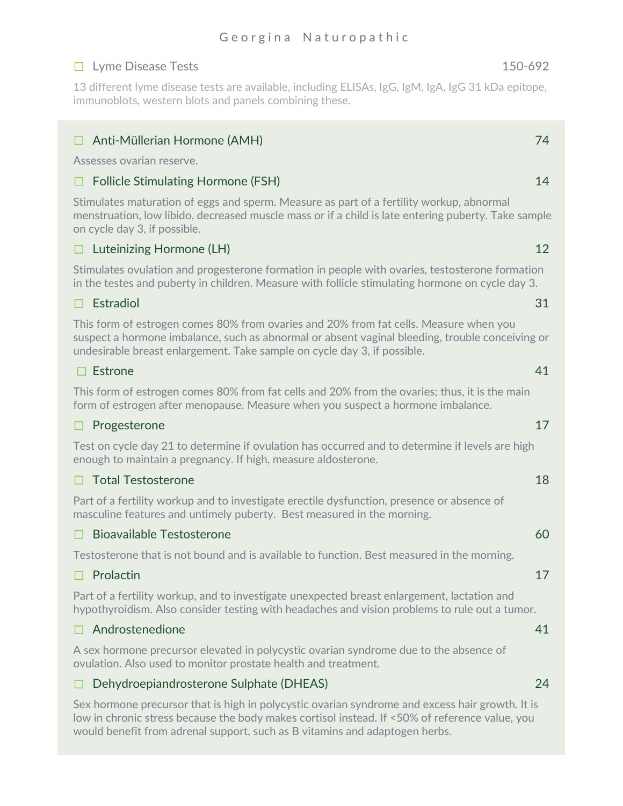## ☐ Lyme Disease Tests 150-692

13 different lyme disease tests are available, including ELISAs, IgG, IgM, IgA, IgG 31 kDa epitope, immunoblots, western blots and panels combining these.

## ☐ Anti-Müllerian Hormone (AMH) 74

Assesses ovarian reserve.

#### ☐ Follicle Stimulating Hormone (FSH) 14

Stimulates maturation of eggs and sperm. Measure as part of a fertility workup, abnormal menstruation, low libido, decreased muscle mass or if a child is late entering puberty. Take sample on cycle day 3, if possible.

### ☐ Luteinizing Hormone (LH) 12

Stimulates ovulation and progesterone formation in people with ovaries, testosterone formation in the testes and puberty in children. Measure with follicle stimulating hormone on cycle day 3.

### $\Box$  Estradiol 31

This form of estrogen comes 80% from ovaries and 20% from fat cells. Measure when you suspect a hormone imbalance, such as abnormal or absent vaginal bleeding, trouble conceiving or undesirable breast enlargement. Take sample on cycle day 3, if possible.

## $\Box$  Estrone 41

This form of estrogen comes 80% from fat cells and 20% from the ovaries; thus, it is the main form of estrogen after menopause. Measure when you suspect a hormone imbalance.

#### ☐ Progesterone 17

Test on cycle day 21 to determine if ovulation has occurred and to determine if levels are high enough to maintain a pregnancy. If high, measure aldosterone.

#### $\Box$  Total Testosterone  $18$

Part of a fertility workup and to investigate erectile dysfunction, presence or absence of masculine features and untimely puberty. Best measured in the morning.

#### $\Box$  Bioavailable Testosterone 60

Testosterone that is not bound and is available to function. Best measured in the morning.

#### $\Box$  Prolactin  $17$

Part of a fertility workup, and to investigate unexpected breast enlargement, lactation and hypothyroidism. Also consider testing with headaches and vision problems to rule out a tumor.

#### $\Box$  Androstenedione  $41$

A sex hormone precursor elevated in polycystic ovarian syndrome due to the absence of ovulation. Also used to monitor prostate health and treatment.

## ☐ Dehydroepiandrosterone Sulphate (DHEAS) 24

Sex hormone precursor that is high in polycystic ovarian syndrome and excess hair growth. It is low in chronic stress because the body makes cortisol instead. If <50% of reference value, you would benefit from adrenal support, such as B vitamins and adaptogen herbs.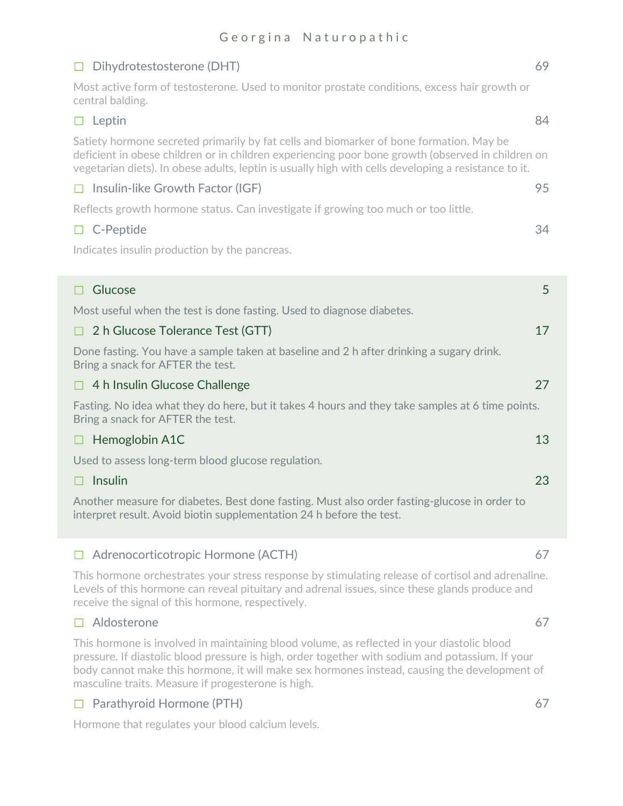| Most active form of testosterone. Used to monitor prostate conditions, excess hair growth or<br>central balding.<br>Leptin<br>$\Box$<br>Satiety hormone secreted primarily by fat cells and biomarker of bone formation. May be<br>deficient in obese children or in children experiencing poor bone growth (observed in children on<br>vegetarian diets). In obese adults, leptin is usually high with cells developing a resistance to it.<br>Insulin-like Growth Factor (IGF)<br>$\Box$<br>Reflects growth hormone status. Can investigate if growing too much or too little.<br>$\Box$ C-Peptide<br>Indicates insulin production by the pancreas.<br>Glucose<br>П<br>Most useful when the test is done fasting. Used to diagnose diabetes.<br>2 h Glucose Tolerance Test (GTT)<br>П<br>Done fasting. You have a sample taken at baseline and 2 h after drinking a sugary drink.<br>Bring a snack for AFTER the test.<br>4 h Insulin Glucose Challenge<br>□.<br>Fasting. No idea what they do here, but it takes 4 hours and they take samples at 6 time points.<br>Bring a snack for AFTER the test.<br>13<br>Hemoglobin A1C<br>□<br>Used to assess long-term blood glucose regulation.<br>Insulin<br>23<br>П<br>Another measure for diabetes. Best done fasting. Must also order fasting-glucose in order to<br>interpret result. Avoid biotin supplementation 24 h before the test. | $\Box$ Dihydrotestosterone (DHT) | 69 |
|-------------------------------------------------------------------------------------------------------------------------------------------------------------------------------------------------------------------------------------------------------------------------------------------------------------------------------------------------------------------------------------------------------------------------------------------------------------------------------------------------------------------------------------------------------------------------------------------------------------------------------------------------------------------------------------------------------------------------------------------------------------------------------------------------------------------------------------------------------------------------------------------------------------------------------------------------------------------------------------------------------------------------------------------------------------------------------------------------------------------------------------------------------------------------------------------------------------------------------------------------------------------------------------------------------------------------------------------------------------------------------------------|----------------------------------|----|
|                                                                                                                                                                                                                                                                                                                                                                                                                                                                                                                                                                                                                                                                                                                                                                                                                                                                                                                                                                                                                                                                                                                                                                                                                                                                                                                                                                                           |                                  |    |
|                                                                                                                                                                                                                                                                                                                                                                                                                                                                                                                                                                                                                                                                                                                                                                                                                                                                                                                                                                                                                                                                                                                                                                                                                                                                                                                                                                                           |                                  | 84 |
|                                                                                                                                                                                                                                                                                                                                                                                                                                                                                                                                                                                                                                                                                                                                                                                                                                                                                                                                                                                                                                                                                                                                                                                                                                                                                                                                                                                           |                                  |    |
|                                                                                                                                                                                                                                                                                                                                                                                                                                                                                                                                                                                                                                                                                                                                                                                                                                                                                                                                                                                                                                                                                                                                                                                                                                                                                                                                                                                           |                                  | 95 |
|                                                                                                                                                                                                                                                                                                                                                                                                                                                                                                                                                                                                                                                                                                                                                                                                                                                                                                                                                                                                                                                                                                                                                                                                                                                                                                                                                                                           |                                  |    |
|                                                                                                                                                                                                                                                                                                                                                                                                                                                                                                                                                                                                                                                                                                                                                                                                                                                                                                                                                                                                                                                                                                                                                                                                                                                                                                                                                                                           |                                  | 34 |
|                                                                                                                                                                                                                                                                                                                                                                                                                                                                                                                                                                                                                                                                                                                                                                                                                                                                                                                                                                                                                                                                                                                                                                                                                                                                                                                                                                                           |                                  |    |
|                                                                                                                                                                                                                                                                                                                                                                                                                                                                                                                                                                                                                                                                                                                                                                                                                                                                                                                                                                                                                                                                                                                                                                                                                                                                                                                                                                                           |                                  |    |
|                                                                                                                                                                                                                                                                                                                                                                                                                                                                                                                                                                                                                                                                                                                                                                                                                                                                                                                                                                                                                                                                                                                                                                                                                                                                                                                                                                                           |                                  | 5  |
|                                                                                                                                                                                                                                                                                                                                                                                                                                                                                                                                                                                                                                                                                                                                                                                                                                                                                                                                                                                                                                                                                                                                                                                                                                                                                                                                                                                           |                                  |    |
|                                                                                                                                                                                                                                                                                                                                                                                                                                                                                                                                                                                                                                                                                                                                                                                                                                                                                                                                                                                                                                                                                                                                                                                                                                                                                                                                                                                           |                                  | 17 |
|                                                                                                                                                                                                                                                                                                                                                                                                                                                                                                                                                                                                                                                                                                                                                                                                                                                                                                                                                                                                                                                                                                                                                                                                                                                                                                                                                                                           |                                  |    |
|                                                                                                                                                                                                                                                                                                                                                                                                                                                                                                                                                                                                                                                                                                                                                                                                                                                                                                                                                                                                                                                                                                                                                                                                                                                                                                                                                                                           |                                  | 27 |
|                                                                                                                                                                                                                                                                                                                                                                                                                                                                                                                                                                                                                                                                                                                                                                                                                                                                                                                                                                                                                                                                                                                                                                                                                                                                                                                                                                                           |                                  |    |
|                                                                                                                                                                                                                                                                                                                                                                                                                                                                                                                                                                                                                                                                                                                                                                                                                                                                                                                                                                                                                                                                                                                                                                                                                                                                                                                                                                                           |                                  |    |
|                                                                                                                                                                                                                                                                                                                                                                                                                                                                                                                                                                                                                                                                                                                                                                                                                                                                                                                                                                                                                                                                                                                                                                                                                                                                                                                                                                                           |                                  |    |
|                                                                                                                                                                                                                                                                                                                                                                                                                                                                                                                                                                                                                                                                                                                                                                                                                                                                                                                                                                                                                                                                                                                                                                                                                                                                                                                                                                                           |                                  |    |
|                                                                                                                                                                                                                                                                                                                                                                                                                                                                                                                                                                                                                                                                                                                                                                                                                                                                                                                                                                                                                                                                                                                                                                                                                                                                                                                                                                                           |                                  |    |

## ☐ Adrenocorticotropic Hormone (ACTH) 67

This hormone orchestrates your stress response by stimulating release of cortisol and adrenaline. Levels of this hormone can reveal pituitary and adrenal issues, since these glands produce and receive the signal of this hormone, respectively.

## $\Box$  Aldosterone 67

This hormone is involved in maintaining blood volume, as reflected in your diastolic blood pressure. If diastolic blood pressure is high, order together with sodium and potassium. If your body cannot make this hormone, it will make sex hormones instead, causing the development of masculine traits. Measure if progesterone is high.

## ☐ Parathyroid Hormone (PTH) 67

Hormone that regulates your blood calcium levels.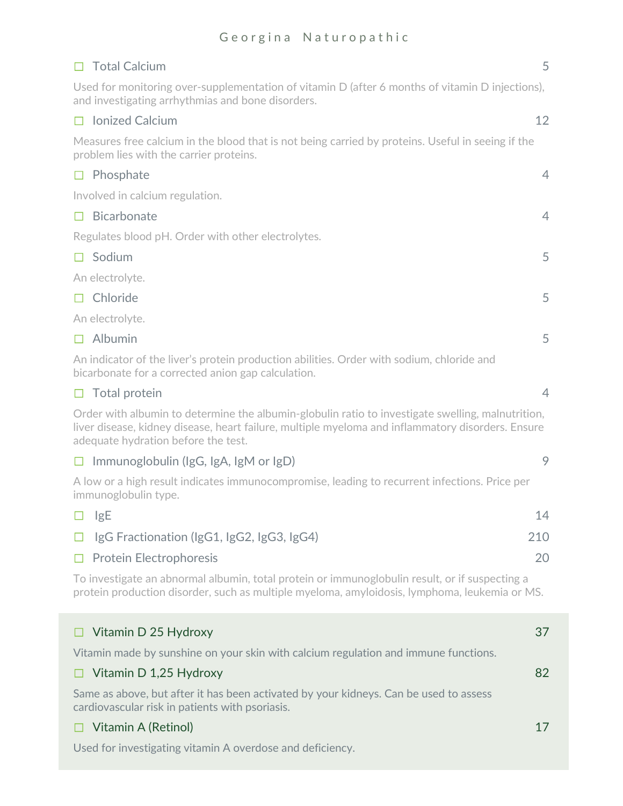|        | $\Box$ Total Calcium                                                                                                                                                                                                                          | 5              |
|--------|-----------------------------------------------------------------------------------------------------------------------------------------------------------------------------------------------------------------------------------------------|----------------|
|        | Used for monitoring over-supplementation of vitamin D (after 6 months of vitamin D injections),<br>and investigating arrhythmias and bone disorders.                                                                                          |                |
|        | $\Box$ Ionized Calcium                                                                                                                                                                                                                        | 12             |
|        | Measures free calcium in the blood that is not being carried by proteins. Useful in seeing if the<br>problem lies with the carrier proteins.                                                                                                  |                |
|        | $\Box$ Phosphate                                                                                                                                                                                                                              | $\overline{4}$ |
|        | Involved in calcium regulation.                                                                                                                                                                                                               |                |
|        | $\Box$ Bicarbonate                                                                                                                                                                                                                            | $\overline{4}$ |
|        | Regulates blood pH. Order with other electrolytes.                                                                                                                                                                                            |                |
|        | $\Box$ Sodium                                                                                                                                                                                                                                 | 5              |
|        | An electrolyte.                                                                                                                                                                                                                               |                |
|        | $\Box$ Chloride                                                                                                                                                                                                                               | 5              |
|        | An electrolyte.                                                                                                                                                                                                                               |                |
|        | $\Box$ Albumin                                                                                                                                                                                                                                | 5              |
|        | An indicator of the liver's protein production abilities. Order with sodium, chloride and<br>bicarbonate for a corrected anion gap calculation.                                                                                               |                |
|        | $\Box$ Total protein                                                                                                                                                                                                                          | $\overline{4}$ |
|        | Order with albumin to determine the albumin-globulin ratio to investigate swelling, malnutrition,<br>liver disease, kidney disease, heart failure, multiple myeloma and inflammatory disorders. Ensure<br>adequate hydration before the test. |                |
|        | $\Box$ Immunoglobulin (IgG, IgA, IgM or IgD)                                                                                                                                                                                                  | 9              |
|        | A low or a high result indicates immunocompromise, leading to recurrent infections. Price per<br>immunoglobulin type.                                                                                                                         |                |
| $\Box$ | <b>lgE</b>                                                                                                                                                                                                                                    | 14             |
| $\Box$ | IgG Fractionation (IgG1, IgG2, IgG3, IgG4)                                                                                                                                                                                                    | 210            |
| $\Box$ | <b>Protein Electrophoresis</b>                                                                                                                                                                                                                | 20             |
|        | To investigate an abnormal albumin, total protein or immunoglobulin result, or if suspecting a<br>protein production disorder, such as multiple myeloma, amyloidosis, lymphoma, leukemia or MS.                                               |                |
|        | Vitamin D 25 Hydroxy                                                                                                                                                                                                                          | 37             |
|        | Vitamin made by sunshine on your skin with calcium regulation and immune functions.                                                                                                                                                           |                |
| □      | Vitamin D 1,25 Hydroxy                                                                                                                                                                                                                        | 82             |
|        | Same as above, but after it has been activated by your kidneys. Can be used to assess<br>cardiovascular risk in patients with psoriasis.                                                                                                      |                |
| H      | Vitamin A (Retinol)                                                                                                                                                                                                                           | 17             |
|        | Used for investigating vitamin A overdose and deficiency.                                                                                                                                                                                     |                |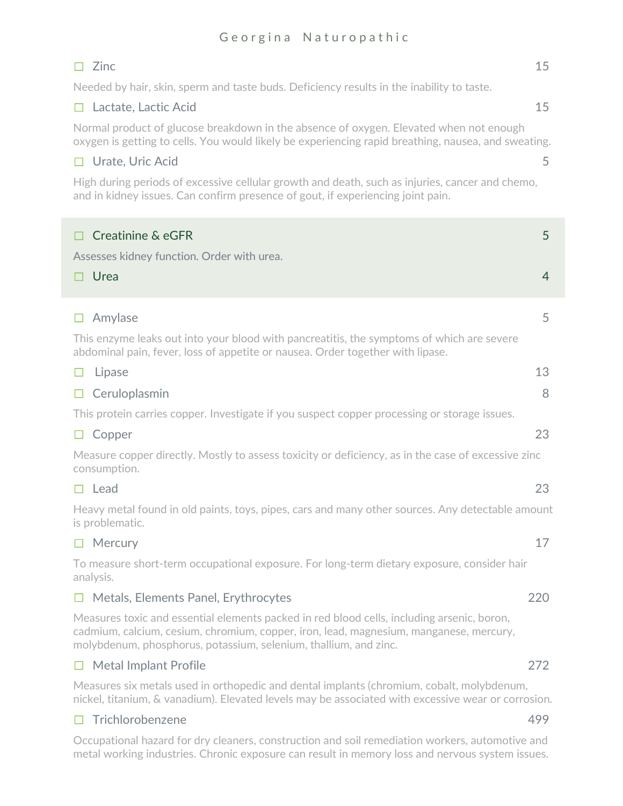## $\Box$  Zinc  $\Box$  21.15

Needed by hair, skin, sperm and taste buds. Deficiency results in the inability to taste.

## ☐ Lactate, Lactic Acid 15

Normal product of glucose breakdown in the absence of oxygen. Elevated when not enough oxygen is getting to cells. You would likely be experiencing rapid breathing, nausea, and sweating.

### ☐ Urate, Uric Acid 5

High during periods of excessive cellular growth and death, such as injuries, cancer and chemo, and in kidney issues. Can confirm presence of gout, if experiencing joint pain.

| Creatinine & eGFR                                                                                                                                                                                                                                        | 5              |
|----------------------------------------------------------------------------------------------------------------------------------------------------------------------------------------------------------------------------------------------------------|----------------|
| Assesses kidney function. Order with urea.                                                                                                                                                                                                               |                |
| Urea<br>П                                                                                                                                                                                                                                                | $\overline{4}$ |
| Amylase<br>□                                                                                                                                                                                                                                             | 5              |
| This enzyme leaks out into your blood with pancreatitis, the symptoms of which are severe<br>abdominal pain, fever, loss of appetite or nausea. Order together with lipase.                                                                              |                |
| Lipase<br>□                                                                                                                                                                                                                                              | 13             |
| Ceruloplasmin<br>$\Box$                                                                                                                                                                                                                                  | 8              |
| This protein carries copper. Investigate if you suspect copper processing or storage issues.                                                                                                                                                             |                |
| $\Box$ Copper                                                                                                                                                                                                                                            | 23             |
| Measure copper directly. Mostly to assess toxicity or deficiency, as in the case of excessive zinc<br>consumption.                                                                                                                                       |                |
| $\Box$ Lead                                                                                                                                                                                                                                              | 23             |
| Heavy metal found in old paints, toys, pipes, cars and many other sources. Any detectable amount<br>is problematic.                                                                                                                                      |                |
| $\Box$ Mercury                                                                                                                                                                                                                                           | 17             |
| To measure short-term occupational exposure. For long-term dietary exposure, consider hair<br>analysis.                                                                                                                                                  |                |
| $\Box$ Metals, Elements Panel, Erythrocytes                                                                                                                                                                                                              | 220            |
| Measures toxic and essential elements packed in red blood cells, including arsenic, boron,<br>cadmium, calcium, cesium, chromium, copper, iron, lead, magnesium, manganese, mercury,<br>molybdenum, phosphorus, potassium, selenium, thallium, and zinc. |                |
| $\Box$ Metal Implant Profile                                                                                                                                                                                                                             | 272            |
| Measures six metals used in orthopedic and dental implants (chromium, cobalt, molybdenum,<br>nickel, titanium, & vanadium). Elevated levels may be associated with excessive wear or corrosion.                                                          |                |
| $\Box$ Trichlorobenzene                                                                                                                                                                                                                                  | 499            |

Occupational hazard for dry cleaners, construction and soil remediation workers, automotive and metal working industries. Chronic exposure can result in memory loss and nervous system issues.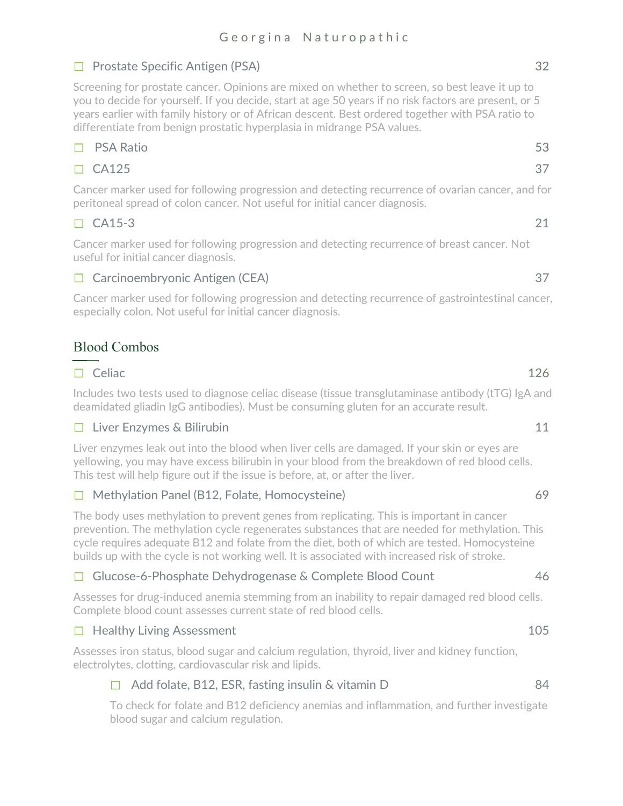## ☐ Prostate Specific Antigen (PSA) 32

Screening for prostate cancer. Opinions are mixed on whether to screen, so best leave it up to you to decide for yourself. If you decide, start at age 50 years if no risk factors are present, or 5 years earlier with family history or of African descent. Best ordered together with PSA ratio to differentiate from benign prostatic hyperplasia in midrange PSA values.

## $\Box$  PSA Ratio 53

## $\Box$  CA125 37

Cancer marker used for following progression and detecting recurrence of ovarian cancer, and for peritoneal spread of colon cancer. Not useful for initial cancer diagnosis.

## $\Box$  CA15-3 21

Cancer marker used for following progression and detecting recurrence of breast cancer. Not useful for initial cancer diagnosis.

## ☐ Carcinoembryonic Antigen (CEA) 37

Cancer marker used for following progression and detecting recurrence of gastrointestinal cancer, especially colon. Not useful for initial cancer diagnosis.

## Blood Combos

## $\Box$  Celiac  $\Box$  126

Includes two tests used to diagnose celiac disease (tissue transglutaminase antibody (tTG) IgA and deamidated gliadin IgG antibodies). Must be consuming gluten for an accurate result.

## ☐ Liver Enzymes & Bilirubin 11

Liver enzymes leak out into the blood when liver cells are damaged. If your skin or eyes are yellowing, you may have excess bilirubin in your blood from the breakdown of red blood cells. This test will help figure out if the issue is before, at, or after the liver.

## ☐ Methylation Panel (B12, Folate, Homocysteine) 69

The body uses methylation to prevent genes from replicating. This is important in cancer prevention. The methylation cycle regenerates substances that are needed for methylation. This cycle requires adequate B12 and folate from the diet, both of which are tested. Homocysteine builds up with the cycle is not working well. It is associated with increased risk of stroke.

## ☐ Glucose-6-Phosphate Dehydrogenase & Complete Blood Count 46

Assesses for drug-induced anemia stemming from an inability to repair damaged red blood cells. Complete blood count assesses current state of red blood cells.

## □ Healthy Living Assessment 105

Assesses iron status, blood sugar and calcium regulation, thyroid, liver and kidney function, electrolytes, clotting, cardiovascular risk and lipids.

## $\Box$  Add folate, B12, ESR, fasting insulin & vitamin D  $\Box$

To check for folate and B12 deficiency anemias and inflammation, and further investigate blood sugar and calcium regulation.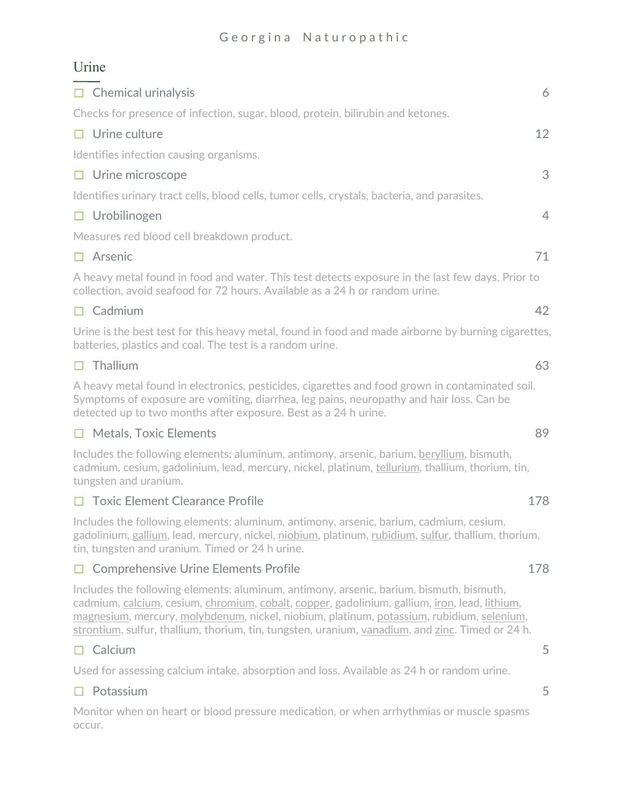## Urine

| $\Box$ Chemical urinalysis                                                                                                                                                       | 6              |
|----------------------------------------------------------------------------------------------------------------------------------------------------------------------------------|----------------|
| Checks for presence of infection, sugar, blood, protein, bilirubin and ketones.                                                                                                  |                |
| $\Box$ Urine culture                                                                                                                                                             | 12             |
| Identifies infection causing organisms.                                                                                                                                          |                |
| $\Box$ Urine microscope                                                                                                                                                          | 3              |
| Identifies urinary tract cells, blood cells, tumor cells, crystals, bacteria, and parasites.                                                                                     |                |
| $\Box$ Urobilinogen                                                                                                                                                              | $\overline{4}$ |
| Measures red blood cell breakdown product.                                                                                                                                       |                |
| $\Box$ Arsenic                                                                                                                                                                   | 71             |
| A heavy metal found in food and water. This test detects exposure in the last few days. Prior to<br>collection, avoid seafood for 72 hours. Available as a 24 h or random urine. |                |

## $\Box$  Cadmium 42

Urine is the best test for this heavy metal, found in food and made airborne by burning cigarettes, batteries, plastics and coal. The test is a random urine.

#### $\Box$  Thallium 63

A heavy metal found in electronics, pesticides, cigarettes and food grown in contaminated soil. Symptoms of exposure are vomiting, diarrhea, leg pains, neuropathy and hair loss. Can be detected up to two months after exposure. Best as a 24 h urine.

## $\Box$  Metals, Toxic Elements 89

Includes the following elements: aluminum, antimony, arsenic, barium, beryllium, bismuth, cadmium, cesium, gadolinium, lead, mercury, nickel, platinum, tellurium, thallium, thorium, tin, tungsten and uranium.

#### ☐ Toxic Element Clearance Profile 178

Includes the following elements: aluminum, antimony, arsenic, barium, cadmium, cesium, gadolinium, gallium, lead, mercury, nickel, niobium, platinum, rubidium, sulfur, thallium, thorium, tin, tungsten and uranium. Timed or 24 h urine.

## □ Comprehensive Urine Elements Profile 178

Includes the following elements: aluminum, antimony, arsenic, barium, bismuth, bismuth, cadmium, calcium, cesium, chromium, cobalt, copper, gadolinium, gallium, iron, lead, lithium, magnesium, mercury, molybdenum, nickel, niobium, platinum, potassium, rubidium, selenium, strontium, sulfur, thallium, thorium, tin, tungsten, uranium, vanadium, and zinc. Timed or 24 h.

## $\Box$  Calcium 5

Used for assessing calcium intake, absorption and loss. Available as 24 h or random urine.

## ☐ Potassium 5

Monitor when on heart or blood pressure medication, or when arrhythmias or muscle spasms occur.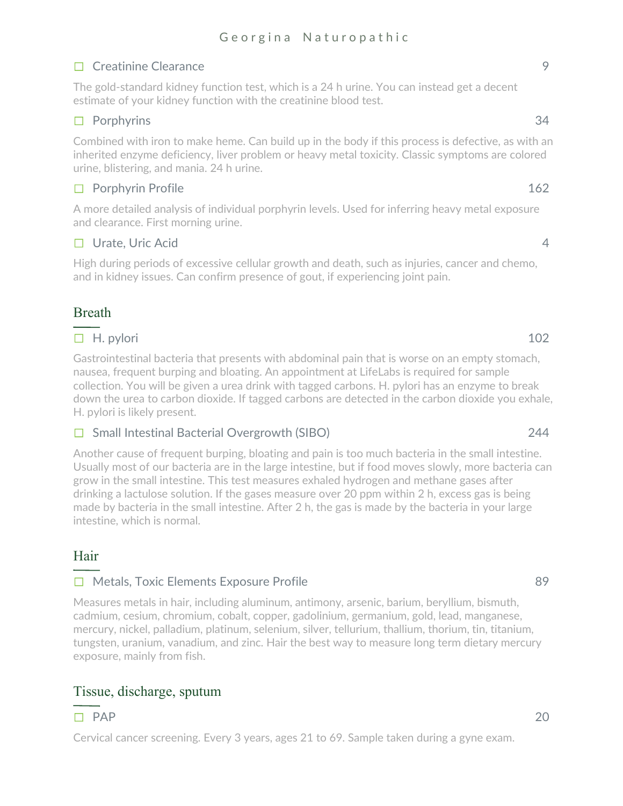## ☐ Creatinine Clearance 9

The gold-standard kidney function test, which is a 24 h urine. You can instead get a decent estimate of your kidney function with the creatinine blood test.

## $\Box$  Porphyrins 34

Combined with iron to make heme. Can build up in the body if this process is defective, as with an inherited enzyme deficiency, liver problem or heavy metal toxicity. Classic symptoms are colored urine, blistering, and mania. 24 h urine.

## $\Box$  Porphyrin Profile 162

A more detailed analysis of individual porphyrin levels. Used for inferring heavy metal exposure and clearance. First morning urine.

## $\Box$  Urate, Uric Acid 4

High during periods of excessive cellular growth and death, such as injuries, cancer and chemo, and in kidney issues. Can confirm presence of gout, if experiencing joint pain.

## Breath

## $\Box$  H. pylori 102

Gastrointestinal bacteria that presents with abdominal pain that is worse on an empty stomach, nausea, frequent burping and bloating. An appointment at LifeLabs is required for sample collection. You will be given a urea drink with tagged carbons. H. pylori has an enzyme to break down the urea to carbon dioxide. If tagged carbons are detected in the carbon dioxide you exhale, H. pylori is likely present.

## ☐ Small Intestinal Bacterial Overgrowth (SIBO) 244

Another cause of frequent burping, bloating and pain is too much bacteria in the small intestine. Usually most of our bacteria are in the large intestine, but if food moves slowly, more bacteria can grow in the small intestine. This test measures exhaled hydrogen and methane gases after drinking a lactulose solution. If the gases measure over 20 ppm within 2 h, excess gas is being made by bacteria in the small intestine. After 2 h, the gas is made by the bacteria in your large intestine, which is normal.

## Hair

## ☐ Metals, Toxic Elements Exposure Profile 89

Measures metals in hair, including aluminum, antimony, arsenic, barium, beryllium, bismuth, cadmium, cesium, chromium, cobalt, copper, gadolinium, germanium, gold, lead, manganese, mercury, nickel, palladium, platinum, selenium, silver, tellurium, thallium, thorium, tin, titanium, tungsten, uranium, vanadium, and zinc. Hair the best way to measure long term dietary mercury exposure, mainly from fish.

## Tissue, discharge, sputum

## $\Box$  PAP 20

Cervical cancer screening. Every 3 years, ages 21 to 69. Sample taken during a gyne exam.